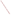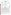### **THE ENVIRONMENTAL TECHNOLOGY VERIFICATION PROGRAM**



**Battelle** The Business of Innovation

# **ETV Joint Verification Statement**

|                                      | <b>TECHNOLOGY TYPE: Trace Metals Analysis System</b>       |             |                                           |  |
|--------------------------------------|------------------------------------------------------------|-------------|-------------------------------------------|--|
| <b>APPLICATION:</b>                  | <b>ANALYSIS OF ARSENIC IN WATER</b>                        |             |                                           |  |
| <b>TECHNOLOGY</b><br><b>NAME:</b>    | <b>SafeGuard Trace Metals Analyzer</b>                     |             |                                           |  |
| <b>COMPANY:</b>                      | <b>TraceDetect</b>                                         |             |                                           |  |
| <b>ADDRESS:</b>                      | <b>180 North Canal Street</b><br>Seattle, Washington 98103 | <b>FAX:</b> | PHONE: (206) 523-2009<br>$(206)$ 523-2042 |  |
| <b>WEB SITE:</b><br>$E\text{-}MAIL:$ | www.tracedetect.com<br>richardb@tracedetect.com            |             |                                           |  |

The U.S. Environmental Protection Agency (EPA) has established the Environmental Technology Verification (ETV) Program to facilitate the deployment of innovative or improved environmental technologies through performance verification and dissemination of information. The goal of the ETV Program is to further environmental protection by accelerating the acceptance and use of improved and costeffective technologies. ETV seeks to achieve this goal by providing high-quality, peer-reviewed data on technology performance to those involved in the design, distribution, financing, permitting, purchase, and use of environmental technologies. Information and ETV documents are available at www.epa.gov/etv.

ETV works in partnership with recognized standards and testing organizations, with stakeholder groups (consisting of buyers, vendor organizations, and permitters), and with individual technology developers. The program evaluates the performance of innovative technologies by developing test plans that are responsive to the needs of stakeholders, conducting field or laboratory tests (as appropriate), collecting and analyzing data, and preparing peer-reviewed reports. All evaluations are conducted in accordance with rigorous quality assurance (QA) protocols to ensure that data of known and adequate quality are generated and that the results are defensible.

The Advanced Monitoring Systems (AMS) Center, one of six technology areas under ETV, is operated by Battelle in cooperation with EPA's National Exposure Research Laboratory. The AMS Center evaluated the performance of the TraceDetect SafeGuard Trace Metals Analyzer in measuring total arsenic in water. This verification statement provides a summary of the test results.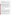#### **VERIFICATION TEST DESCRIPTION**

The SafeGuard was verified by comparing its arsenic measurements to those from a laboratory-based reference method—inductively coupled plasma mass spectrometry (ICP-MS) performed according to EPA Method 200.8. The SafeGuard performance was verified by analyzing laboratory-prepared performance test (PT) samples, quality control (QC) samples, and environmental samples. All samples were tested using both the SafeGuard and the reference method. The SafeGuard was verified by evaluating accuracy, precision, linearity, method detection limit (MDL), matrix interference effects, operator bias, inter-unit reproducibility, and rate of false positives/false negatives.

Samples were prepared and analyzed according to the vendor's recommended procedures and the test/QA plan. All samples were analyzed without pretreatment except the drinking water samples collected from plumbing. These samples were filtered to remove potential copper contaminants. The results from the SafeGuard were compared to those from the reference method to assess accuracy and linearity. Four aliquots of PT samples and environmental samples were analyzed to assess precision. Seven aliquots of a 5 ppb PT sample were analyzed to assess the detection limit of the SafeGuard. Potential matrix interference effects were assessed by challenging the SafeGuard with PT samples of 10 ppb arsenic concentration that contained both low levels and high levels of potentially interfering substances. All samples were analyzed using two identical SafeGuard units (designated Unit #1 and Unit #2). Results of analyses from the two units were statistically compared to evaluate inter-unit reproducibility. Operator bias was assessed by statistically comparing data from two operators (technical and non-technical) analyzing identical sets of samples on both units. The rates of false positive and false negative results were evaluated relative to the 10-parts-per-billion (ppb) maximum contaminant level for arsenic in drinking water. Other factors that were qualitatively assessed during the test included ease of use, time required for sample analysis, and reliability.

QA oversight of verification testing was provided by Battelle and EPA. Battelle QA staff conducted a technical systems audit, a performance evaluation audit, and a data quality audit of 10% of the test data.

This verification statement, the full report on which it is based, and the test/QA plan for this verification test are all available at www.epa.gov/etv/centers/center1.html.

# **TECHNOLOGY DESCRIPTION**

The following description of the SafeGuard is based on information provided by the vendor. This technology description was not verified in this test.

TraceDetect's SafeGuard is designed to automatically measure total arsenic concentrations in drinking water samples (including raw water and treated water) over a range from 1 ppb to over 100 ppb. Once the operator has introduced the sample vial and selected "measure" on the control computer, all calibrations, dilutions, reductions, standard additions, and measurements are performed by the SafeGuard with the results displayed and logged in a data file. The SafeGuard consists of three main components: the expert system, the fluidics system, and TraceDetect's patented NanoBand™ sensor and potentiostat. Each of these components has a part in the measurement process—from controlling the pumps, to adding chemicals, to making measurements and interpreting the results. The SafeGuard uses anodic stripping voltammetry (ASV) and the method of standard addition to make metals measurements. ASV is an electro-analytical method that detects ions in a solution by the potential at which they oxidize and strip away from the surface of an electrode. The SafeGuard is able to measure As (III) and reduce As (V) to As (III) to measure total arsenic. It can be configured to analyze copper, lead, zinc, cadmium, and mercury in water.

The SafeGuard stores data for every measurement and operation. The base of the SafeGuard is 15 inches by 28 inches (381 mm by 711 mm). It is 22 inches (559 mm) high and requires a computer, mouse, monitor, and keyboard. The TraceDetect SafeGuard as configured for measuring arsenic during this verification test was priced at \$35,000, excluding options that the customer may require for unique sample preparation (e.g., copper removal from samples, filters for high turbidity samples).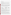## **VERIFICATION RESULTS**

Accuracy was assessed by comparing the results to Method  $200.8^{(2)}$  results from ICP-MS analysis. The quantitative assessment of accuracy indicated that the relative bias for the SafeGuard ranged from -28% to 7% for the technical operator and -28% to 11% for the non-technical operator (excluding residential well water samples at approximately 600%).

Precision was assessed by analyzing four replicates of each sample. For the technical operator, precision expressed as relative standard deviation (RSD) ranged from 3% to 44%, and for the non-technical operator 2% to 38%. The average RSD for PT samples only was 10% for the technical operator and 9% for the nontechnical operator. These results exclude samples for which one or more of the replicate results were not detected by the SafeGuard.

The linearity of response was evaluated by plotting the SafeGuard results against the reference analysis results for the PT samples. The table below summarizes the equations for the linear regressions and presents the 95% confidence interval for the slopes as +/- error. All linear regressions against the reference method results had coefficients of determination (r2) greater than 0.99. The 95% confidence intervals for the slopes indicate that only the technical operator data for Unit # 1 were consistent with a slope of 1 and were not significantly different from the reference analysis results. The 95% confidence intervals for the y-axis intercept included zero for both operators on both units indicating no significant difference from the reference analysis results.

# **Summary of Linear Regression Equations for SafeGuard and Reference Results**

| <b>Description</b>              | <b>Slope</b><br>$(+/- Error)$ | <b>Intercept</b><br>$(+/- Error)$ | <b>Coefficient of</b><br><b>Determination</b> |
|---------------------------------|-------------------------------|-----------------------------------|-----------------------------------------------|
| Unit #1, technical operator     | 1.005(0.044)                  | $-1.618(2.32)$                    | 0.9942                                        |
| Unit #2, technical operator     | 0.808(0.034)                  | 0.060(1.70)                       | 0.9936                                        |
| Unit #1, non-technical operator | 0.874(0.027)                  | 0.155(1.27)                       | 0.9961                                        |
| Unit #2, non-technical operator | 0.796(0.019)                  | 0.960(0.96)                       | 0.9979                                        |

The MDL was assessed by analyzing seven replicates of a sample spiked at a level approximately five times the manufacturer's estimated detection limit for the SafeGuard (i.e., 1 ppb  $x 5 = 5$  ppb). The MDLs calculated using the precision data from these replicates ranged from 2.0 ppb to 3.8 ppb.

Results for samples containing low and high levels of interfering compounds indicated that neither level of interference appeared to affect the detection of arsenic, with bias ranging from -19% to 7%, consistent with the bias observed in the absence of interferences. The SafeGuard performance was affected by one of the environmental samples, the residential well water. The native (unspiked) replicates of this sample from both operators and both SafeGuard units reported an arsenic concentration from 2.50 ppb to 9.70 ppb, whereas the reference method reported this sample at 0.89 ppb to 1.12 ppb.

The equations for the linear regressions that were performed to evaluate operator bias and inter-unit reproducibility are summarized below. The 95% confidence interval includes a slope of 1 for Unit # 2, but the 95% confidence interval does not include a slope of 1 for Unit # 1, indicating a significant operator bias (technical results > non-technical results) with that unit. Paired t-tests of the two sets of data indicate that the SafeGuard results were not significantly different at a 0.05 level of significance depending on the operator. Overall, these results indicate at most a small operator bias with one of the two SafeGuard units.

Inter-unit reproducibility was evaluated by comparing the data for the two SafeGuard units used by the technical and non-technical operators. Linear regressions of the data for each unit show that Unit # 2 readings were lower than Unit # 1 readings with both operators, but more strongly with the technical operator. Neither 95%